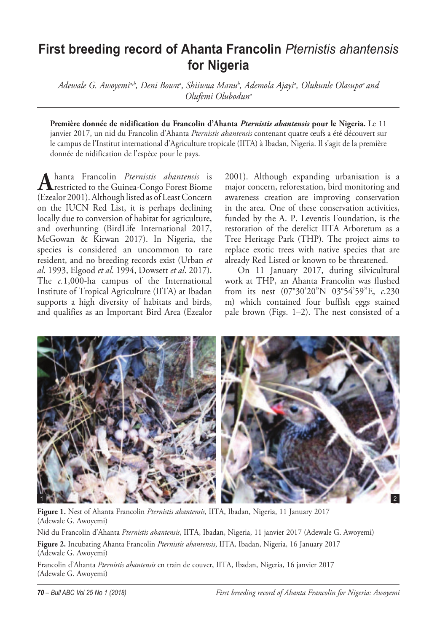## **First breeding record of Ahanta Francolin** *Pternistis ahantensis* **for Nigeria**

Adewale G. Awoyemi<sup>a,b</sup>, Deni Bownª, Shiiwua Manu<sup>b</sup>, Ademola Ajayiª, Olukunle Olasupoª and *Olufemi Oluboduna*

**Première donnée de nidification du Francolin d'Ahanta** *Pternistis ahantensis* **pour le Nigeria.** Le 11 janvier 2017, un nid du Francolin d'Ahanta *Pternistis ahantensis* contenant quatre œufs a été découvert sur le campus de l'Institut international d'Agriculture tropicale (IITA) à Ibadan, Nigeria. Il s'agit de la première donnée de nidification de l'espèce pour le pays.

Ahanta Francolin *Pternistis ahantensis* is<br>
restricted to the Guinea-Congo Forest Biome (Ezealor 2001). Although listed as of Least Concern on the IUCN Red List, it is perhaps declining locally due to conversion of habitat for agriculture, and overhunting (BirdLife International 2017, McGowan & Kirwan 2017). In Nigeria, the species is considered an uncommon to rare resident, and no breeding records exist (Urban *et al*. 1993, Elgood *et al*. 1994, Dowsett *et al*. 2017). The *c.*1,000-ha campus of the International Institute of Tropical Agriculture (IITA) at Ibadan supports a high diversity of habitats and birds, and qualifies as an Important Bird Area (Ezealor

2001). Although expanding urbanisation is a major concern, reforestation, bird monitoring and awareness creation are improving conservation in the area. One of these conservation activities, funded by the A. P. Leventis Foundation, is the restoration of the derelict IITA Arboretum as a Tree Heritage Park (THP). The project aims to replace exotic trees with native species that are already Red Listed or known to be threatened.

On 11 January 2017, during silvicultural work at THP, an Ahanta Francolin was flushed from its nest (07°30'20"N 03°54'59"E, *c*.230 m) which contained four buffish eggs stained pale brown (Figs. 1–2). The nest consisted of a



**Figure 1.** Nest of Ahanta Francolin *Pternistis ahantensis*, IITA, Ibadan, Nigeria, 11 January 2017 (Adewale G. Awoyemi)

Nid du Francolin d'Ahanta *Pternistis ahantensis*, IITA, Ibadan, Nigeria, 11 janvier 2017 (Adewale G. Awoyemi)

**Figure 2.** Incubating Ahanta Francolin *Pternistis ahantensis*, IITA, Ibadan, Nigeria, 16 January 2017 (Adewale G. Awoyemi)

Francolin d'Ahanta *Pternistis ahantensis* en train de couver, IITA, Ibadan, Nigeria, 16 janvier 2017 (Adewale G. Awoyemi)